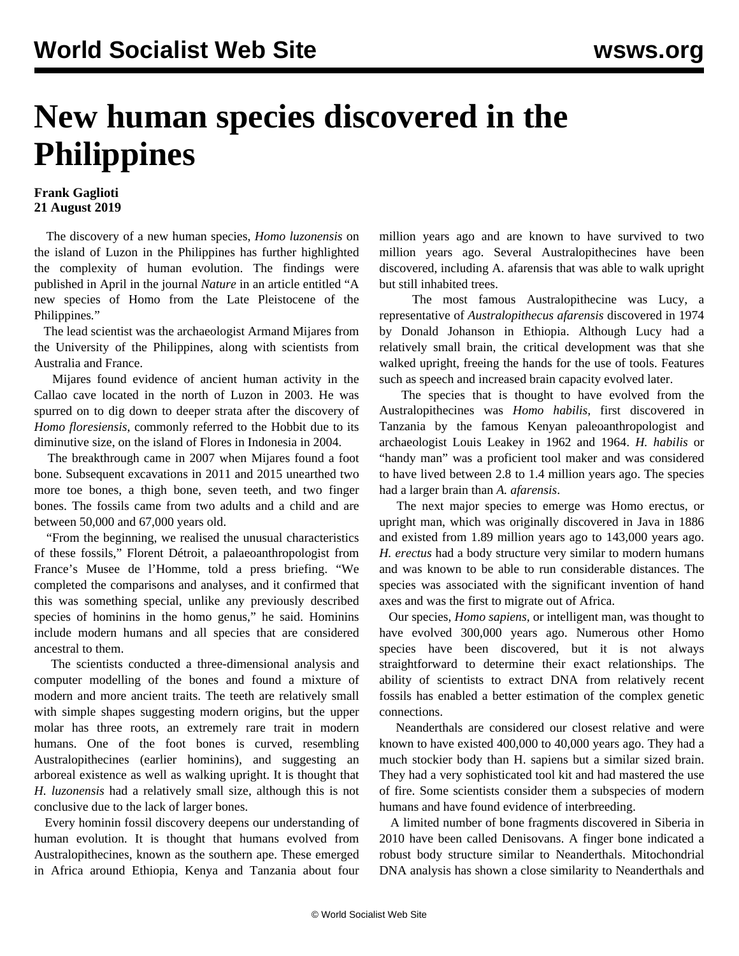## **New human species discovered in the Philippines**

## **Frank Gaglioti 21 August 2019**

 The discovery of a new human species, *Homo luzonensis* on the island of Luzon in the Philippines has further highlighted the complexity of human evolution. The findings were published in April in the journal *Nature* in an article entitled "A new species of Homo from the Late Pleistocene of the Philippines*.*"

 The lead scientist was the archaeologist Armand Mijares from the University of the Philippines, along with scientists from Australia and France.

 Mijares found evidence of ancient human activity in the Callao cave located in the north of Luzon in 2003. He was spurred on to dig down to deeper strata after the discovery of *Homo floresiensis*, commonly referred to the Hobbit due to its diminutive size, on the island of Flores in Indonesia in 2004.

 The breakthrough came in 2007 when Mijares found a foot bone. Subsequent excavations in 2011 and 2015 unearthed two more toe bones, a thigh bone, seven teeth, and two finger bones. The fossils came from two adults and a child and are between 50,000 and 67,000 years old.

 "From the beginning, we realised the unusual characteristics of these fossils," Florent Détroit, a palaeoanthropologist from France's Musee de l'Homme, told a press briefing. "We completed the comparisons and analyses, and it confirmed that this was something special, unlike any previously described species of hominins in the homo genus," he said. Hominins include modern humans and all species that are considered ancestral to them.

 The scientists conducted a three-dimensional analysis and computer modelling of the bones and found a mixture of modern and more ancient traits. The teeth are relatively small with simple shapes suggesting modern origins, but the upper molar has three roots, an extremely rare trait in modern humans. One of the foot bones is curved, resembling Australopithecines (earlier hominins), and suggesting an arboreal existence as well as walking upright. It is thought that *H. luzonensis* had a relatively small size, although this is not conclusive due to the lack of larger bones.

 Every hominin fossil discovery deepens our understanding of human evolution. It is thought that humans evolved from Australopithecines, known as the southern ape. These emerged in Africa around Ethiopia, Kenya and Tanzania about four million years ago and are known to have survived to two million years ago. Several Australopithecines have been discovered, including A. afarensis that was able to walk upright but still inhabited trees.

 The most famous Australopithecine was Lucy, a representative of *Australopithecus afarensis* discovered in 1974 by Donald Johanson in Ethiopia. Although Lucy had a relatively small brain, the critical development was that she walked upright, freeing the hands for the use of tools. Features such as speech and increased brain capacity evolved later.

 The species that is thought to have evolved from the Australopithecines was *Homo habilis,* first discovered in Tanzania by the famous Kenyan paleoanthropologist and archaeologist Louis Leakey in 1962 and 1964. *H. habilis* or "handy man" was a proficient tool maker and was considered to have lived between 2.8 to 1.4 million years ago. The species had a larger brain than *A. afarensis*.

 The next major species to emerge was Homo erectus, or upright man, which was originally discovered in Java in 1886 and existed from 1.89 million years ago to 143,000 years ago. *H. erectus* had a body structure very similar to modern humans and was known to be able to run considerable distances. The species was associated with the significant invention of hand axes and was the first to migrate out of Africa.

 Our species, *Homo sapiens,* or intelligent man, was thought to have evolved 300,000 years ago. Numerous other Homo species have been discovered, but it is not always straightforward to determine their exact relationships. The ability of scientists to extract DNA from relatively recent fossils has enabled a better estimation of the complex genetic connections.

 Neanderthals are considered our closest relative and were known to have existed 400,000 to 40,000 years ago. They had a much stockier body than H. sapiens but a similar sized brain. They had a very sophisticated tool kit and had mastered the use of fire. Some scientists consider them a subspecies of modern humans and have found evidence of interbreeding.

 A limited number of bone fragments discovered in Siberia in 2010 have been called Denisovans. A finger bone indicated a robust body structure similar to Neanderthals. Mitochondrial DNA analysis has shown a close similarity to Neanderthals and